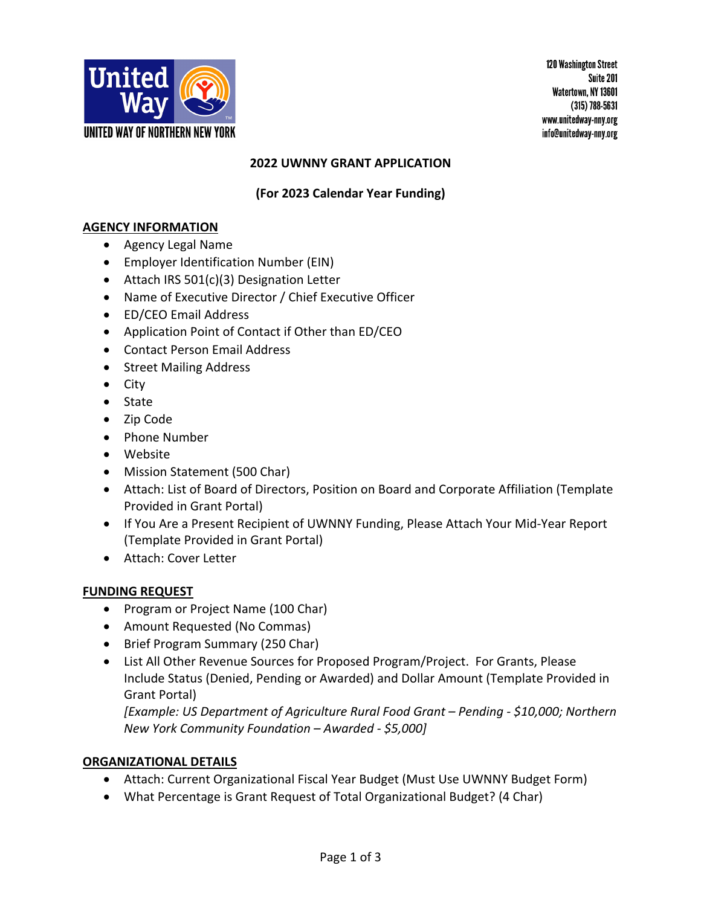

120 Washington Street Suite 201 Watertown, NY 13601  $(315)$  788-5631 www.unitedway-nny.org info@unitedway-nny.org

## **2022 UWNNY GRANT APPLICATION**

## **(For 2023 Calendar Year Funding)**

### **AGENCY INFORMATION**

- Agency Legal Name
- Employer Identification Number (EIN)
- Attach IRS 501(c)(3) Designation Letter
- Name of Executive Director / Chief Executive Officer
- ED/CEO Email Address
- Application Point of Contact if Other than ED/CEO
- Contact Person Email Address
- Street Mailing Address
- City
- State
- Zip Code
- Phone Number
- Website
- Mission Statement (500 Char)
- Attach: List of Board of Directors, Position on Board and Corporate Affiliation (Template Provided in Grant Portal)
- If You Are a Present Recipient of UWNNY Funding, Please Attach Your Mid-Year Report (Template Provided in Grant Portal)
- Attach: Cover Letter

# **FUNDING REQUEST**

- Program or Project Name (100 Char)
- Amount Requested (No Commas)
- Brief Program Summary (250 Char)
- List All Other Revenue Sources for Proposed Program/Project. For Grants, Please Include Status (Denied, Pending or Awarded) and Dollar Amount (Template Provided in Grant Portal)

*[Example: US Department of Agriculture Rural Food Grant – Pending - \$10,000; Northern New York Community Foundation – Awarded - \$5,000]*

### **ORGANIZATIONAL DETAILS**

- Attach: Current Organizational Fiscal Year Budget (Must Use UWNNY Budget Form)
- What Percentage is Grant Request of Total Organizational Budget? (4 Char)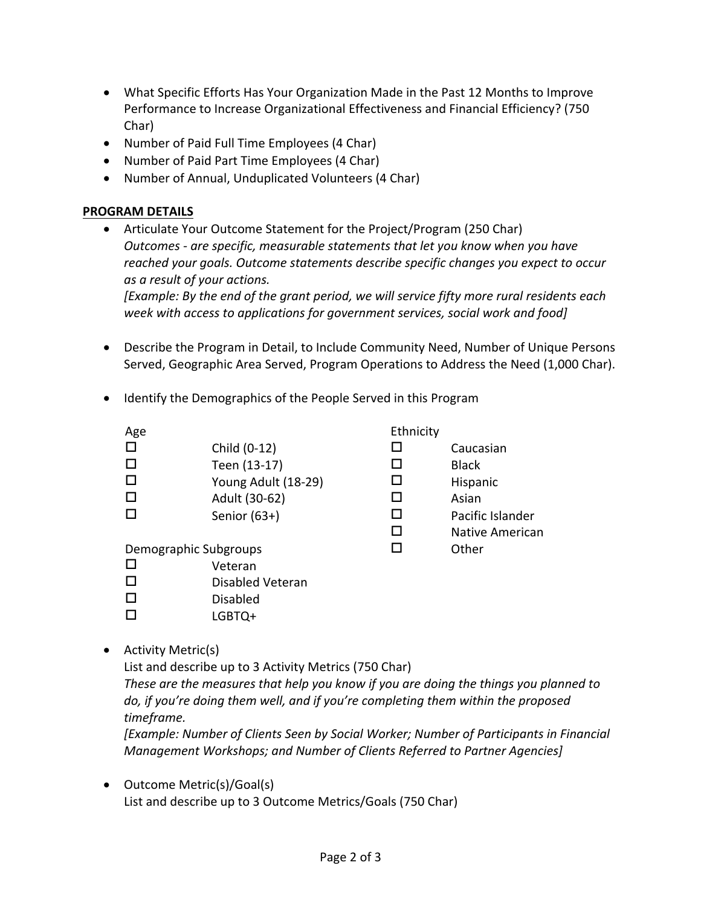- What Specific Efforts Has Your Organization Made in the Past 12 Months to Improve Performance to Increase Organizational Effectiveness and Financial Efficiency? (750 Char)
- Number of Paid Full Time Employees (4 Char)
- Number of Paid Part Time Employees (4 Char)
- Number of Annual, Unduplicated Volunteers (4 Char)

## **PROGRAM DETAILS**

• Articulate Your Outcome Statement for the Project/Program (250 Char) *Outcomes - are specific, measurable statements that let you know when you have reached your goals. Outcome statements describe specific changes you expect to occur as a result of your actions.*

*[Example: By the end of the grant period, we will service fifty more rural residents each week with access to applications for government services, social work and food]*

- Describe the Program in Detail, to Include Community Need, Number of Unique Persons Served, Geographic Area Served, Program Operations to Address the Need (1,000 Char).
- Identify the Demographics of the People Served in this Program

| Age                   |                     | Ethnicity |                        |
|-----------------------|---------------------|-----------|------------------------|
| $\Box$                | Child (0-12)        |           | Caucasian              |
| □                     | Teen (13-17)        | ΙI        | <b>Black</b>           |
| □                     | Young Adult (18-29) |           | Hispanic               |
| □                     | Adult (30-62)       | ΙI        | Asian                  |
| □                     | Senior $(63+)$      | ы         | Pacific Islander       |
|                       |                     | ΙI        | <b>Native American</b> |
| Demographic Subgroups |                     |           | Other                  |
|                       |                     |           |                        |

- $\square$  Veteran  $\square$  Disabled Veteran
- $\square$  Disabled
- $\square$  LGBTQ+
- Activity Metric(s)

List and describe up to 3 Activity Metrics (750 Char)

*These are the measures that help you know if you are doing the things you planned to do, if you're doing them well, and if you're completing them within the proposed timeframe.* 

*[Example: Number of Clients Seen by Social Worker; Number of Participants in Financial Management Workshops; and Number of Clients Referred to Partner Agencies]*

• Outcome Metric(s)/Goal(s) List and describe up to 3 Outcome Metrics/Goals (750 Char)